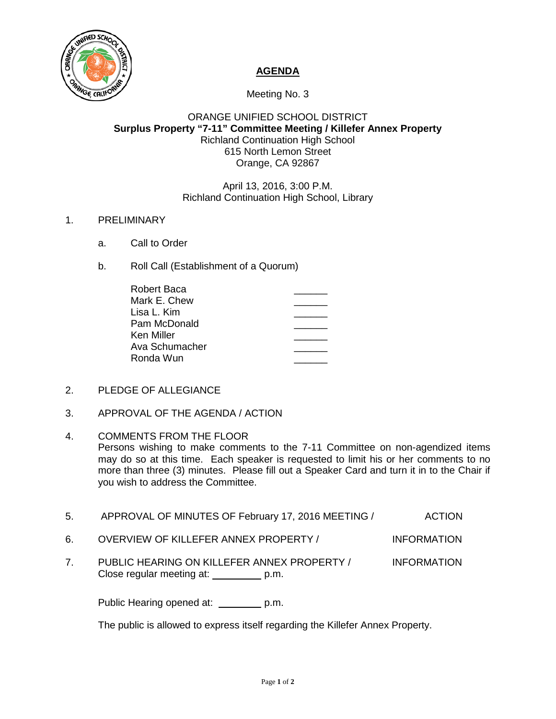

# **AGENDA**

Meeting No. 3

## ORANGE UNIFIED SCHOOL DISTRICT **Surplus Property "7-11" Committee Meeting / Killefer Annex Property** Richland Continuation High School 615 North Lemon Street Orange, CA 92867

### April 13, 2016, 3:00 P.M. Richland Continuation High School, Library

### 1. PRELIMINARY

- a. Call to Order
- b. Roll Call (Establishment of a Quorum)

| Robert Baca    |  |
|----------------|--|
| Mark E. Chew   |  |
| Lisa L. Kim    |  |
| Pam McDonald   |  |
| Ken Miller     |  |
| Ava Schumacher |  |
| Ronda Wun      |  |

- 2. PLEDGE OF ALLEGIANCE
- 3. APPROVAL OF THE AGENDA / ACTION

#### 4. COMMENTS FROM THE FLOOR

Persons wishing to make comments to the 7-11 Committee on non-agendized items may do so at this time. Each speaker is requested to limit his or her comments to no more than three (3) minutes. Please fill out a Speaker Card and turn it in to the Chair if you wish to address the Committee.

- 5. APPROVAL OF MINUTES OF February 17, 2016 MEETING / ACTION
- 6. OVERVIEW OF KILLEFER ANNEX PROPERTY / INFORMATION
- 7. PUBLIC HEARING ON KILLEFER ANNEX PROPERTY / INFORMATION Close regular meeting at: p.m.

Public Hearing opened at: \_\_\_\_\_\_\_\_ p.m.

The public is allowed to express itself regarding the Killefer Annex Property.